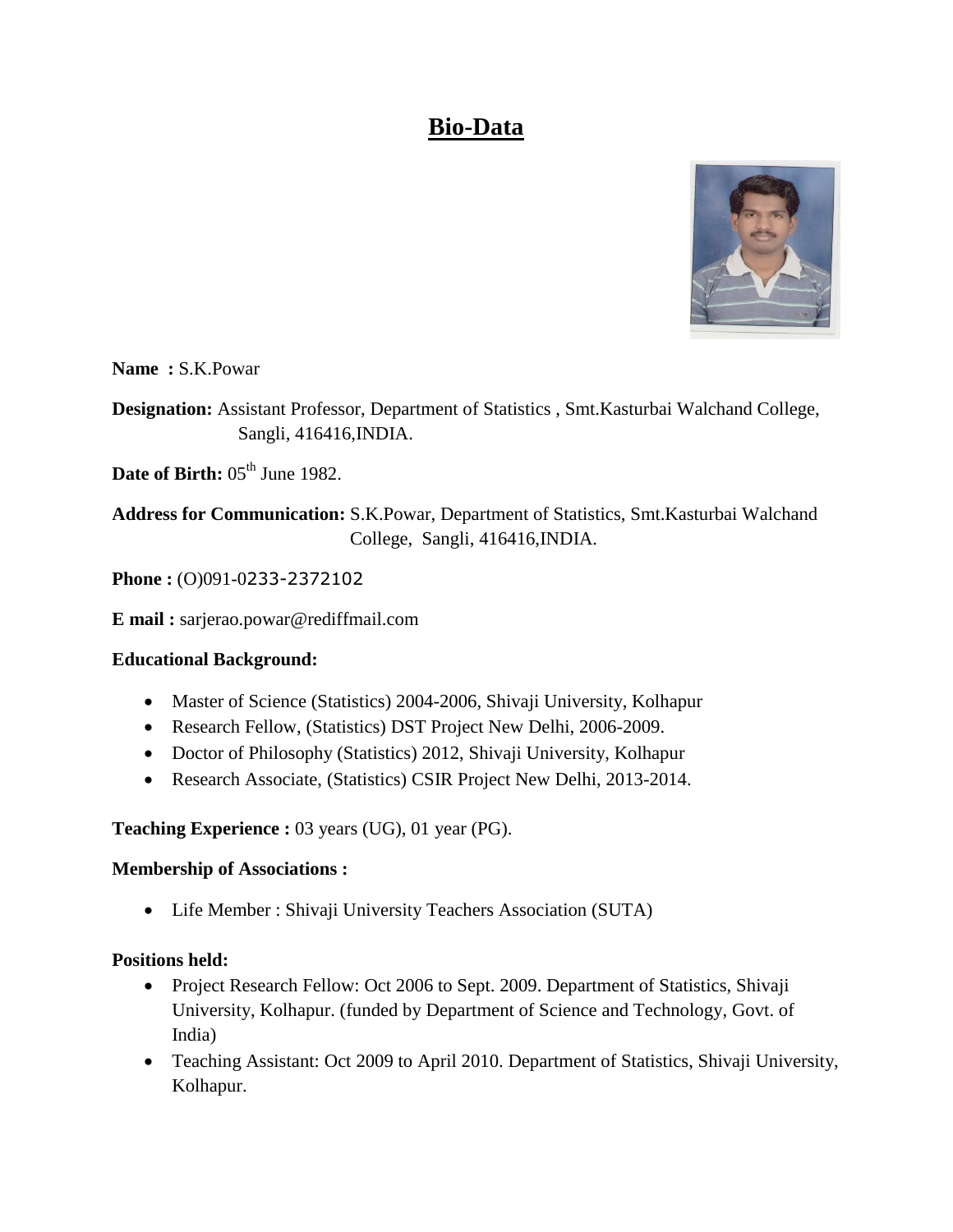# **Bio-Data**



**Name :** S.K.Powar

**Designation:** Assistant Professor, Department of Statistics , Smt.Kasturbai Walchand College, Sangli, 416416,INDIA.

**Date of Birth:**  $05<sup>th</sup>$  June 1982.

**Address for Communication:** S.K.Powar, Department of Statistics, Smt.Kasturbai Walchand College, Sangli, 416416,INDIA.

**Phone :** (O)091-0233-2372102

**E mail :** sarjerao.powar@rediffmail.com

# **Educational Background:**

- Master of Science (Statistics) 2004-2006, Shivaji University, Kolhapur
- Research Fellow, (Statistics) DST Project New Delhi, 2006-2009.
- Doctor of Philosophy (Statistics) 2012, Shivaji University, Kolhapur
- Research Associate, (Statistics) CSIR Project New Delhi, 2013-2014.

**Teaching Experience :** 03 years (UG), 01 year (PG).

#### **Membership of Associations :**

Life Member : Shivaji University Teachers Association (SUTA)

# **Positions held:**

- Project Research Fellow: Oct 2006 to Sept. 2009. Department of Statistics, Shivaji University, Kolhapur. (funded by Department of Science and Technology, Govt. of India)
- Teaching Assistant: Oct 2009 to April 2010. Department of Statistics, Shivaji University, Kolhapur.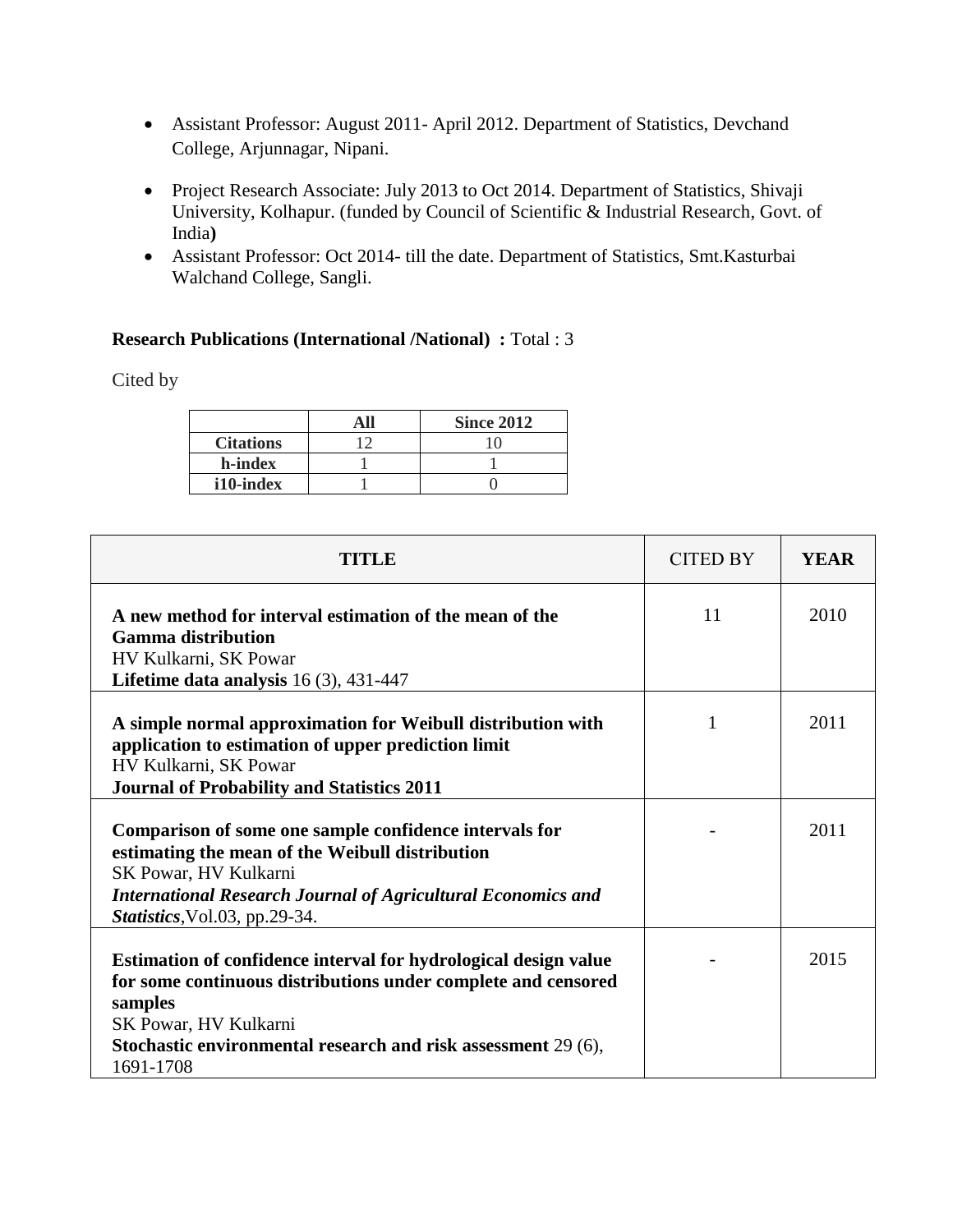- Assistant Professor: August 2011- April 2012. Department of Statistics, Devchand College, Arjunnagar, Nipani.
- Project Research Associate: July 2013 to Oct 2014. Department of Statistics, Shivaji University, Kolhapur. (funded by [Council of Scientific & Industrial Research,](http://www.csir.res.in/) Govt. of India**)**
- Assistant Professor: Oct 2014- till the date. Department of Statistics, Smt.Kasturbai Walchand College, Sangli.

#### **Research Publications (International /National) :** Total : 3

Cited by

|                  | <b>Since 2012</b> |
|------------------|-------------------|
| <b>Citations</b> |                   |
| h-index          |                   |
| i10-index        |                   |

| TITLE                                                                                                                                                                                                                                              | <b>CITED BY</b> | <b>YEAR</b> |
|----------------------------------------------------------------------------------------------------------------------------------------------------------------------------------------------------------------------------------------------------|-----------------|-------------|
| A new method for interval estimation of the mean of the<br><b>Gamma distribution</b><br>HV Kulkarni, SK Powar<br>Lifetime data analysis $16(3)$ , 431-447                                                                                          | 11              | 2010        |
| A simple normal approximation for Weibull distribution with<br>application to estimation of upper prediction limit<br>HV Kulkarni, SK Powar<br><b>Journal of Probability and Statistics 2011</b>                                                   | 1               | 2011        |
| Comparison of some one sample confidence intervals for<br>estimating the mean of the Weibull distribution<br>SK Powar, HV Kulkarni<br><b>International Research Journal of Agricultural Economics and</b><br>Statistics, Vol.03, pp.29-34.         |                 | 2011        |
| Estimation of confidence interval for hydrological design value<br>for some continuous distributions under complete and censored<br>samples<br>SK Powar, HV Kulkarni<br>Stochastic environmental research and risk assessment 29 (6),<br>1691-1708 |                 | 2015        |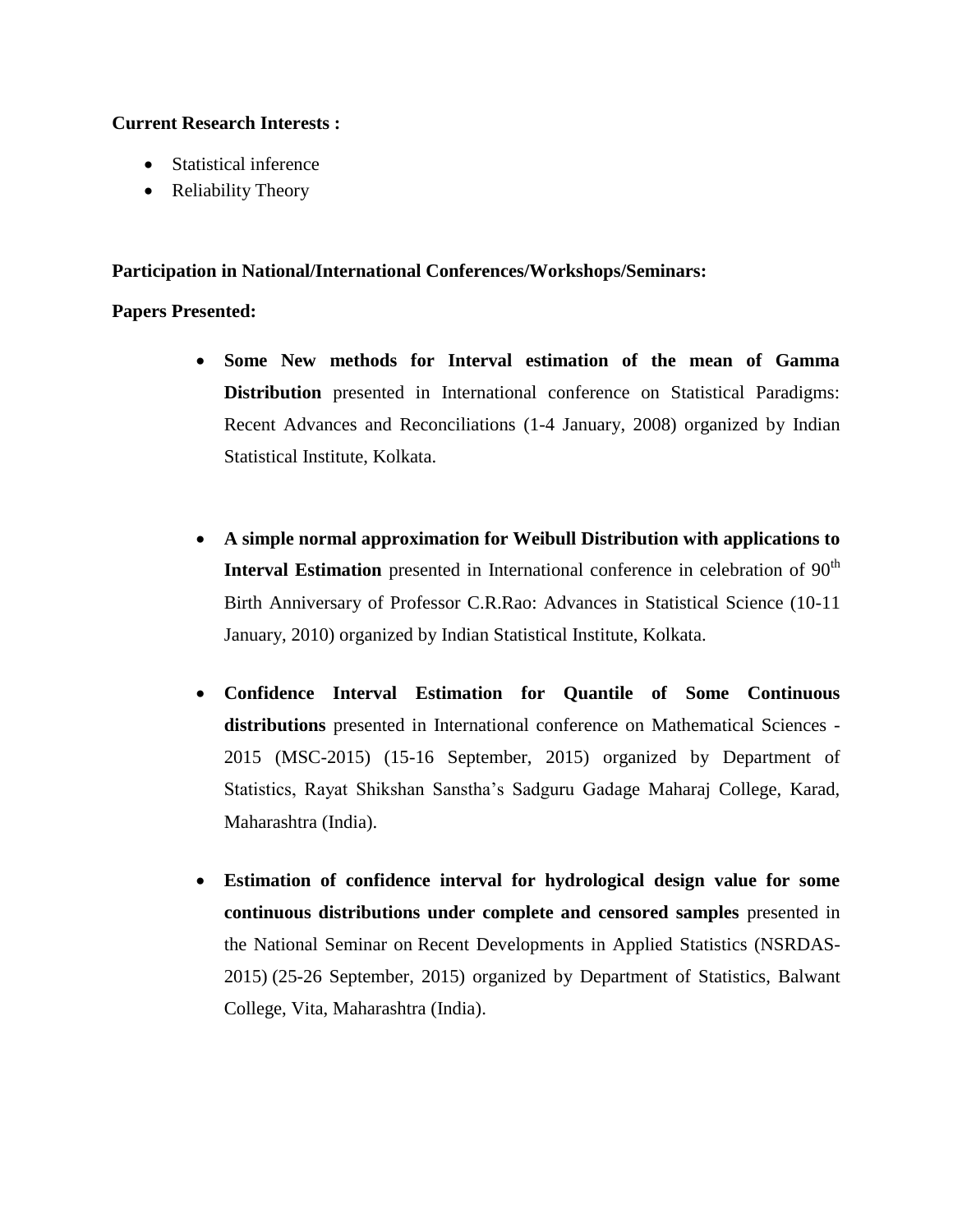#### **Current Research Interests :**

- Statistical inference
- Reliability Theory

### **Participation in National/International Conferences/Workshops/Seminars:**

### **Papers Presented:**

- **Some New methods for Interval estimation of the mean of Gamma Distribution** presented in International conference on Statistical Paradigms: Recent Advances and Reconciliations (1-4 January, 2008) organized by Indian Statistical Institute, Kolkata.
- **A simple normal approximation for Weibull Distribution with applications to Interval Estimation** presented in International conference in celebration of 90<sup>th</sup> Birth Anniversary of Professor C.R.Rao: Advances in Statistical Science (10-11 January, 2010) organized by Indian Statistical Institute, Kolkata.
- **Confidence Interval Estimation for Quantile of Some Continuous distributions** presented in International conference on Mathematical Sciences - 2015 (MSC-2015) (15-16 September, 2015) organized by Department of Statistics, Rayat Shikshan Sanstha's Sadguru Gadage Maharaj College, Karad, Maharashtra (India).
- **Estimation of confidence interval for hydrological design value for some continuous distributions under complete and censored samples** presented in the National Seminar on Recent Developments in Applied Statistics (NSRDAS-2015) (25-26 September, 2015) organized by Department of Statistics, Balwant College, Vita, Maharashtra (India).